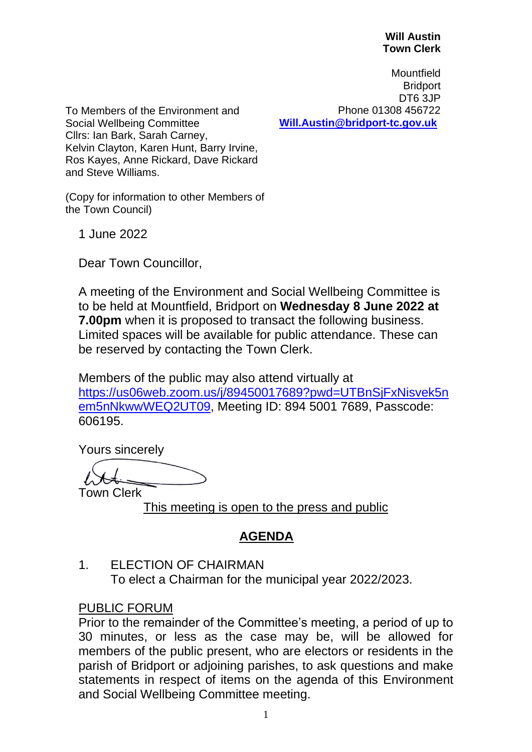#### **Will Austin Town Clerk**

**Mountfield Bridport** DT6 3JP Phone 01308 456722 **[Will.Austin@bridport-tc.gov.uk](mailto:Will.Austin@bridport-tc.gov.uk)** 

To Members of the Environment and Social Wellbeing Committee Cllrs: Ian Bark, Sarah Carney, Kelvin Clayton, Karen Hunt, Barry Irvine, Ros Kayes, Anne Rickard, Dave Rickard and Steve Williams.

(Copy for information to other Members of the Town Council)

1 June 2022

Dear Town Councillor,

A meeting of the Environment and Social Wellbeing Committee is to be held at Mountfield, Bridport on **Wednesday 8 June 2022 at 7.00pm** when it is proposed to transact the following business. Limited spaces will be available for public attendance. These can be reserved by contacting the Town Clerk.

Members of the public may also attend virtually at [https://us06web.zoom.us/j/89450017689?pwd=UTBnSjFxNisvek5n](https://us06web.zoom.us/j/89450017689?pwd=UTBnSjFxNisvek5nem5nNkwwWEQ2UT09) [em5nNkwwWEQ2UT09,](https://us06web.zoom.us/j/89450017689?pwd=UTBnSjFxNisvek5nem5nNkwwWEQ2UT09) Meeting ID: 894 5001 7689, Passcode: 606195.

Yours sincerely

Town Clerk

This meeting is open to the press and public

# **AGENDA**

### 1. ELECTION OF CHAIRMAN

To elect a Chairman for the municipal year 2022/2023.

### PUBLIC FORUM

Prior to the remainder of the Committee's meeting, a period of up to 30 minutes, or less as the case may be, will be allowed for members of the public present, who are electors or residents in the parish of Bridport or adjoining parishes, to ask questions and make statements in respect of items on the agenda of this Environment and Social Wellbeing Committee meeting.